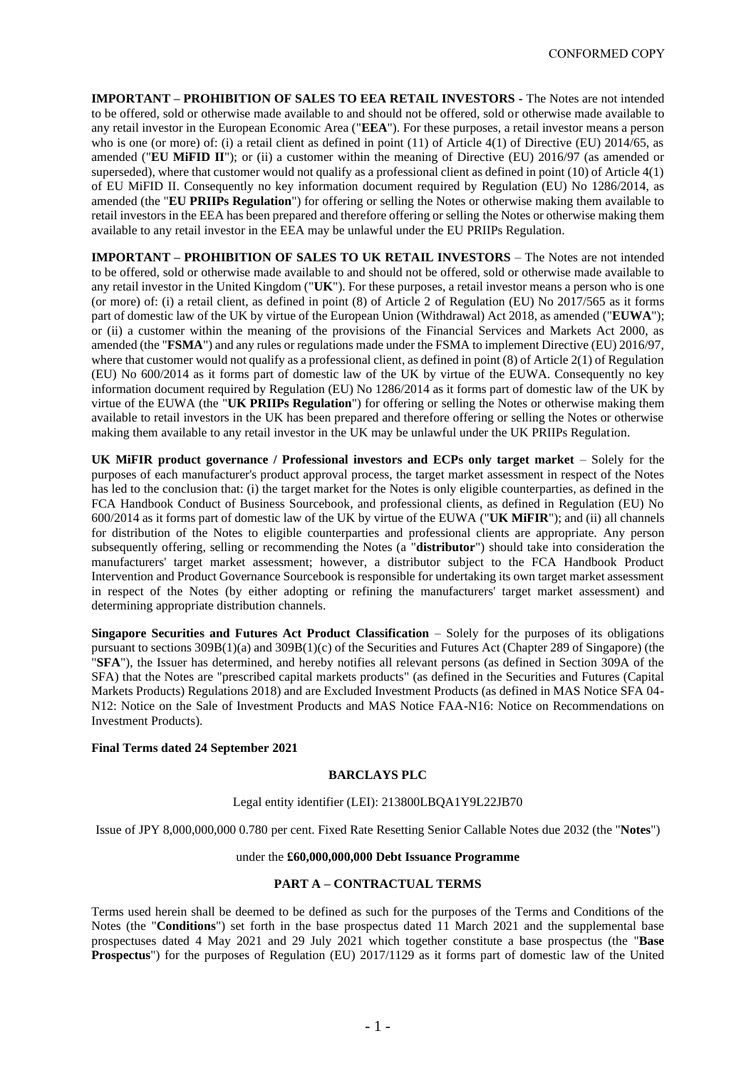**IMPORTANT – PROHIBITION OF SALES TO EEA RETAIL INVESTORS -** The Notes are not intended to be offered, sold or otherwise made available to and should not be offered, sold or otherwise made available to any retail investor in the European Economic Area ("**EEA**"). For these purposes, a retail investor means a person who is one (or more) of: (i) a retail client as defined in point (11) of Article 4(1) of Directive (EU) 2014/65, as amended ("**EU MiFID II**"); or (ii) a customer within the meaning of Directive (EU) 2016/97 (as amended or superseded), where that customer would not qualify as a professional client as defined in point (10) of Article 4(1) of EU MiFID II. Consequently no key information document required by Regulation (EU) No 1286/2014, as amended (the "**EU PRIIPs Regulation**") for offering or selling the Notes or otherwise making them available to retail investors in the EEA has been prepared and therefore offering or selling the Notes or otherwise making them available to any retail investor in the EEA may be unlawful under the EU PRIIPs Regulation.

**IMPORTANT – PROHIBITION OF SALES TO UK RETAIL INVESTORS** – The Notes are not intended to be offered, sold or otherwise made available to and should not be offered, sold or otherwise made available to any retail investor in the United Kingdom ("**UK**"). For these purposes, a retail investor means a person who is one (or more) of: (i) a retail client, as defined in point (8) of Article 2 of Regulation (EU) No 2017/565 as it forms part of domestic law of the UK by virtue of the European Union (Withdrawal) Act 2018, as amended ("**EUWA**"); or (ii) a customer within the meaning of the provisions of the Financial Services and Markets Act 2000, as amended (the "**FSMA**") and any rules or regulations made under the FSMA to implement Directive (EU) 2016/97, where that customer would not qualify as a professional client, as defined in point (8) of Article 2(1) of Regulation (EU) No 600/2014 as it forms part of domestic law of the UK by virtue of the EUWA. Consequently no key information document required by Regulation (EU) No 1286/2014 as it forms part of domestic law of the UK by virtue of the EUWA (the "**UK PRIIPs Regulation**") for offering or selling the Notes or otherwise making them available to retail investors in the UK has been prepared and therefore offering or selling the Notes or otherwise making them available to any retail investor in the UK may be unlawful under the UK PRIIPs Regulation.

**UK MiFIR product governance / Professional investors and ECPs only target market** – Solely for the purposes of each manufacturer's product approval process, the target market assessment in respect of the Notes has led to the conclusion that: (i) the target market for the Notes is only eligible counterparties, as defined in the FCA Handbook Conduct of Business Sourcebook, and professional clients, as defined in Regulation (EU) No 600/2014 as it forms part of domestic law of the UK by virtue of the EUWA ("**UK MiFIR**"); and (ii) all channels for distribution of the Notes to eligible counterparties and professional clients are appropriate. Any person subsequently offering, selling or recommending the Notes (a "**distributor**") should take into consideration the manufacturers' target market assessment; however, a distributor subject to the FCA Handbook Product Intervention and Product Governance Sourcebook is responsible for undertaking its own target market assessment in respect of the Notes (by either adopting or refining the manufacturers' target market assessment) and determining appropriate distribution channels.

**Singapore Securities and Futures Act Product Classification** – Solely for the purposes of its obligations pursuant to sections 309B(1)(a) and 309B(1)(c) of the Securities and Futures Act (Chapter 289 of Singapore) (the "**SFA**"), the Issuer has determined, and hereby notifies all relevant persons (as defined in Section 309A of the SFA) that the Notes are "prescribed capital markets products" (as defined in the Securities and Futures (Capital Markets Products) Regulations 2018) and are Excluded Investment Products (as defined in MAS Notice SFA 04- N12: Notice on the Sale of Investment Products and MAS Notice FAA-N16: Notice on Recommendations on Investment Products).

## **Final Terms dated 24 September 2021**

#### **BARCLAYS PLC**

## Legal entity identifier (LEI): 213800LBQA1Y9L22JB70

Issue of JPY 8,000,000,000 0.780 per cent. Fixed Rate Resetting Senior Callable Notes due 2032 (the "**Notes**")

## under the **£60,000,000,000 Debt Issuance Programme**

## **PART A – CONTRACTUAL TERMS**

Terms used herein shall be deemed to be defined as such for the purposes of the Terms and Conditions of the Notes (the "**Conditions**") set forth in the base prospectus dated 11 March 2021 and the supplemental base prospectuses dated 4 May 2021 and 29 July 2021 which together constitute a base prospectus (the "**Base Prospectus**") for the purposes of Regulation (EU) 2017/1129 as it forms part of domestic law of the United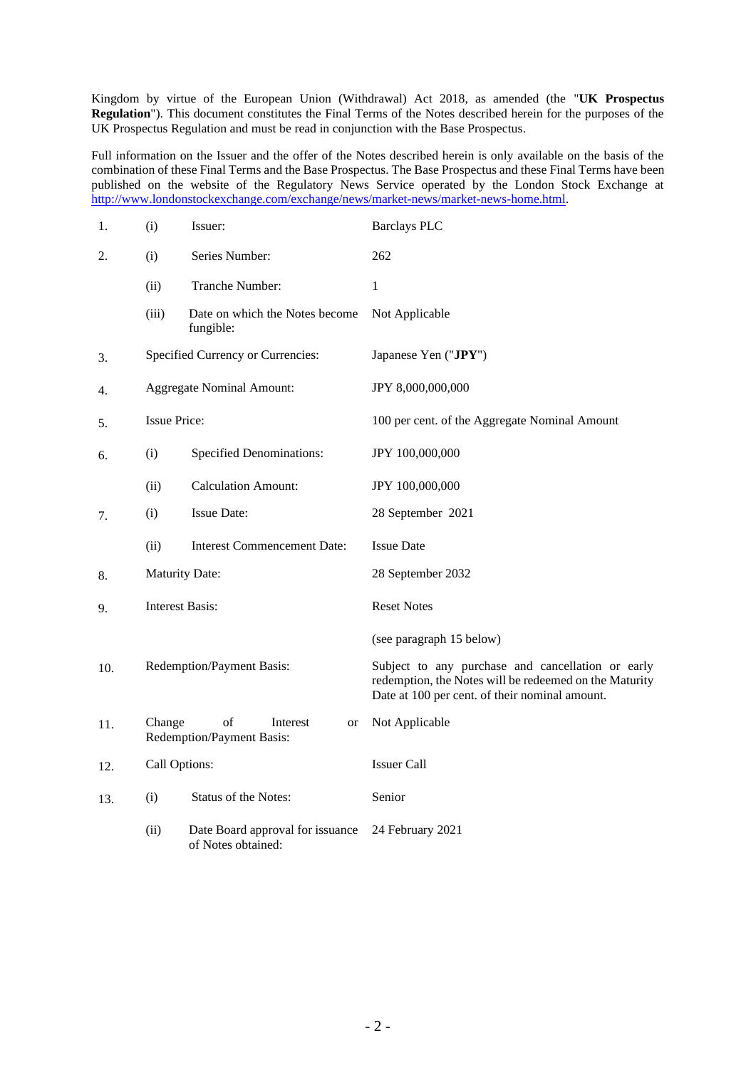Kingdom by virtue of the European Union (Withdrawal) Act 2018, as amended (the "**UK Prospectus Regulation**"). This document constitutes the Final Terms of the Notes described herein for the purposes of the UK Prospectus Regulation and must be read in conjunction with the Base Prospectus.

Full information on the Issuer and the offer of the Notes described herein is only available on the basis of the combination of these Final Terms and the Base Prospectus. The Base Prospectus and these Final Terms have been published on the website of the Regulatory News Service operated by the London Stock Exchange at [http://www.londonstockexchange.com/exchange/news/market-news/market-news-home.html.](http://www.londonstockexchange.com/exchange/news/market-news/market-news-home.html)

| 1.  | (i)                    | Issuer:                                                  | <b>Barclays PLC</b>                                                                                                                                           |
|-----|------------------------|----------------------------------------------------------|---------------------------------------------------------------------------------------------------------------------------------------------------------------|
| 2.  | (i)                    | Series Number:                                           | 262                                                                                                                                                           |
|     | (ii)                   | Tranche Number:                                          | 1                                                                                                                                                             |
|     | (iii)                  | Date on which the Notes become<br>fungible:              | Not Applicable                                                                                                                                                |
| 3.  |                        | Specified Currency or Currencies:                        | Japanese Yen ("JPY")                                                                                                                                          |
| 4.  |                        | <b>Aggregate Nominal Amount:</b>                         | JPY 8,000,000,000                                                                                                                                             |
| 5.  | <b>Issue Price:</b>    |                                                          | 100 per cent. of the Aggregate Nominal Amount                                                                                                                 |
| 6.  | (i)                    | <b>Specified Denominations:</b>                          | JPY 100,000,000                                                                                                                                               |
|     | (ii)                   | <b>Calculation Amount:</b>                               | JPY 100,000,000                                                                                                                                               |
| 7.  | (i)                    | Issue Date:                                              | 28 September 2021                                                                                                                                             |
|     | (ii)                   | <b>Interest Commencement Date:</b>                       | <b>Issue Date</b>                                                                                                                                             |
| 8.  |                        | <b>Maturity Date:</b>                                    | 28 September 2032                                                                                                                                             |
| 9.  | <b>Interest Basis:</b> |                                                          | <b>Reset Notes</b>                                                                                                                                            |
|     |                        |                                                          | (see paragraph 15 below)                                                                                                                                      |
| 10. |                        | Redemption/Payment Basis:                                | Subject to any purchase and cancellation or early<br>redemption, the Notes will be redeemed on the Maturity<br>Date at 100 per cent. of their nominal amount. |
| 11. | Change                 | of<br>Interest<br><b>or</b><br>Redemption/Payment Basis: | Not Applicable                                                                                                                                                |
| 12. | Call Options:          |                                                          | <b>Issuer Call</b>                                                                                                                                            |
| 13. | (i)                    | Status of the Notes:                                     | Senior                                                                                                                                                        |
|     | (ii)                   | Date Board approval for issuance<br>of Notes obtained:   | 24 February 2021                                                                                                                                              |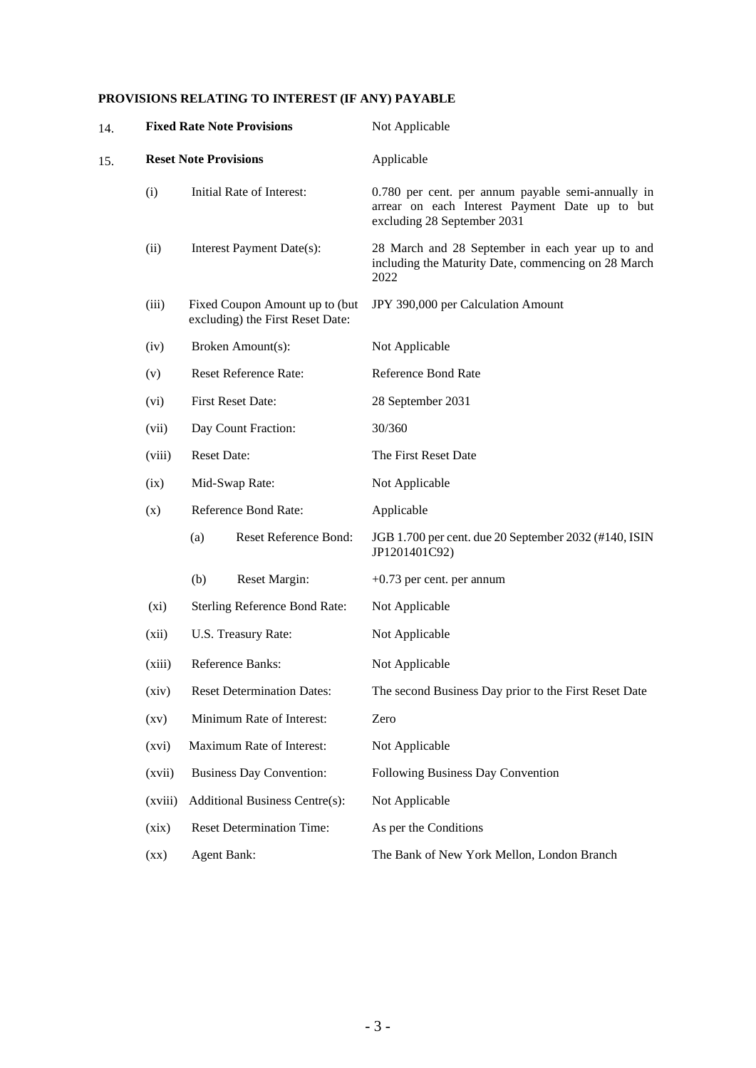# **PROVISIONS RELATING TO INTEREST (IF ANY) PAYABLE**

| 14. | <b>Fixed Rate Note Provisions</b>                                                                                     |                                 |                                                                    | Not Applicable                                                                                                                      |  |
|-----|-----------------------------------------------------------------------------------------------------------------------|---------------------------------|--------------------------------------------------------------------|-------------------------------------------------------------------------------------------------------------------------------------|--|
| 15. |                                                                                                                       | <b>Reset Note Provisions</b>    |                                                                    | Applicable                                                                                                                          |  |
|     | (i)<br>Initial Rate of Interest:<br>(ii)<br>Interest Payment Date(s):                                                 |                                 |                                                                    | 0.780 per cent. per annum payable semi-annually in<br>arrear on each Interest Payment Date up to but<br>excluding 28 September 2031 |  |
|     |                                                                                                                       |                                 |                                                                    | 28 March and 28 September in each year up to and<br>including the Maturity Date, commencing on 28 March<br>2022                     |  |
|     | (iii)                                                                                                                 |                                 | Fixed Coupon Amount up to (but<br>excluding) the First Reset Date: | JPY 390,000 per Calculation Amount                                                                                                  |  |
|     | (iv)                                                                                                                  |                                 | Broken Amount(s):                                                  | Not Applicable                                                                                                                      |  |
|     | (v)                                                                                                                   | <b>Reset Reference Rate:</b>    |                                                                    | <b>Reference Bond Rate</b>                                                                                                          |  |
|     | (vi)                                                                                                                  |                                 | <b>First Reset Date:</b>                                           | 28 September 2031                                                                                                                   |  |
|     | Day Count Fraction:<br>(vii)<br><b>Reset Date:</b><br>(viii)                                                          |                                 |                                                                    | 30/360                                                                                                                              |  |
|     |                                                                                                                       |                                 |                                                                    | The First Reset Date                                                                                                                |  |
|     | (ix)                                                                                                                  | Mid-Swap Rate:                  |                                                                    | Not Applicable                                                                                                                      |  |
|     | (x)                                                                                                                   |                                 | Reference Bond Rate:                                               | Applicable                                                                                                                          |  |
|     |                                                                                                                       | (a)                             | Reset Reference Bond:                                              | JGB 1.700 per cent. due 20 September 2032 (#140, ISIN<br>JP1201401C92)                                                              |  |
|     |                                                                                                                       | (b)                             | Reset Margin:                                                      | $+0.73$ per cent. per annum                                                                                                         |  |
|     | $(x_i)$<br><b>Sterling Reference Bond Rate:</b><br>U.S. Treasury Rate:<br>(xii)                                       |                                 |                                                                    | Not Applicable                                                                                                                      |  |
|     |                                                                                                                       |                                 |                                                                    | Not Applicable                                                                                                                      |  |
|     | (xiii)                                                                                                                | Reference Banks:                |                                                                    | Not Applicable                                                                                                                      |  |
|     | <b>Reset Determination Dates:</b><br>(xiv)<br>Minimum Rate of Interest:<br>(xv)<br>Maximum Rate of Interest:<br>(xvi) |                                 |                                                                    | The second Business Day prior to the First Reset Date                                                                               |  |
|     |                                                                                                                       |                                 |                                                                    | Zero                                                                                                                                |  |
|     |                                                                                                                       |                                 |                                                                    | Not Applicable                                                                                                                      |  |
|     | (xvii)                                                                                                                | <b>Business Day Convention:</b> |                                                                    | Following Business Day Convention                                                                                                   |  |
|     | Additional Business Centre(s):<br>(xviii)                                                                             |                                 |                                                                    | Not Applicable                                                                                                                      |  |
|     | (xix)                                                                                                                 |                                 | <b>Reset Determination Time:</b>                                   | As per the Conditions                                                                                                               |  |
|     | <b>Agent Bank:</b><br>$(\mathbf{X}\mathbf{X})$                                                                        |                                 |                                                                    | The Bank of New York Mellon, London Branch                                                                                          |  |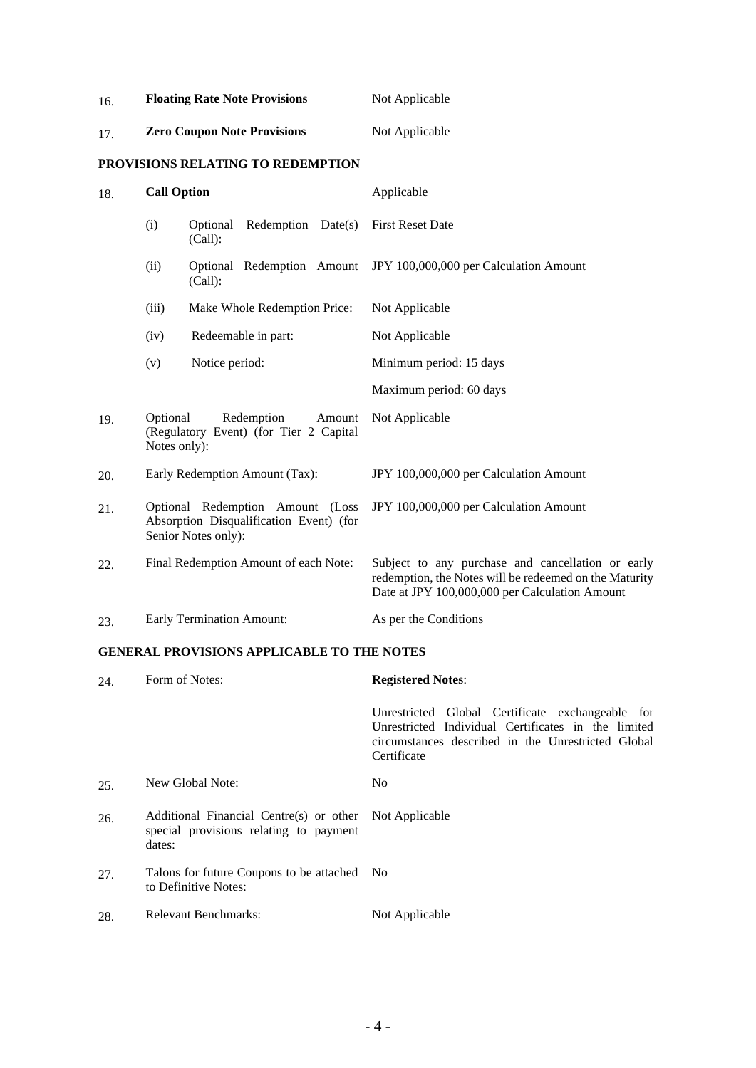| 16. |                          | <b>Floating Rate Note Provisions</b>                                                               | Not Applicable                                                                                                                                                |  |
|-----|--------------------------|----------------------------------------------------------------------------------------------------|---------------------------------------------------------------------------------------------------------------------------------------------------------------|--|
| 17. |                          | <b>Zero Coupon Note Provisions</b>                                                                 | Not Applicable                                                                                                                                                |  |
|     |                          | PROVISIONS RELATING TO REDEMPTION                                                                  |                                                                                                                                                               |  |
| 18. | <b>Call Option</b>       |                                                                                                    | Applicable                                                                                                                                                    |  |
|     | (i)                      | Redemption Date(s)<br>Optional<br>(Call):                                                          | <b>First Reset Date</b>                                                                                                                                       |  |
|     | (ii)                     | Optional Redemption Amount<br>(Call):                                                              | JPY 100,000,000 per Calculation Amount                                                                                                                        |  |
|     | (iii)                    | Make Whole Redemption Price:                                                                       | Not Applicable                                                                                                                                                |  |
|     | (iv)                     | Redeemable in part:                                                                                | Not Applicable                                                                                                                                                |  |
|     | (v)                      | Notice period:                                                                                     | Minimum period: 15 days                                                                                                                                       |  |
|     |                          |                                                                                                    | Maximum period: 60 days                                                                                                                                       |  |
| 19. | Optional<br>Notes only): | Redemption<br>Amount<br>(Regulatory Event) (for Tier 2 Capital                                     | Not Applicable                                                                                                                                                |  |
| 20. |                          | Early Redemption Amount (Tax):                                                                     | JPY 100,000,000 per Calculation Amount                                                                                                                        |  |
| 21. |                          | Optional Redemption Amount (Loss<br>Absorption Disqualification Event) (for<br>Senior Notes only): | JPY 100,000,000 per Calculation Amount                                                                                                                        |  |
| 22. |                          | Final Redemption Amount of each Note:                                                              | Subject to any purchase and cancellation or early<br>redemption, the Notes will be redeemed on the Maturity<br>Date at JPY 100,000,000 per Calculation Amount |  |
| 23. |                          | <b>Early Termination Amount:</b>                                                                   | As per the Conditions                                                                                                                                         |  |

# **GENERAL PROVISIONS APPLICABLE TO THE NOTES**

| 24. | Form of Notes:                                                                                             | <b>Registered Notes:</b>                                                                                                                                                     |  |
|-----|------------------------------------------------------------------------------------------------------------|------------------------------------------------------------------------------------------------------------------------------------------------------------------------------|--|
|     |                                                                                                            | Unrestricted Global Certificate exchangeable for<br>Unrestricted Individual Certificates in the limited<br>circumstances described in the Unrestricted Global<br>Certificate |  |
| 25. | New Global Note:                                                                                           | N <sub>0</sub>                                                                                                                                                               |  |
| 26. | Additional Financial Centre(s) or other Not Applicable<br>special provisions relating to payment<br>dates: |                                                                                                                                                                              |  |
| 27. | Talons for future Coupons to be attached No<br>to Definitive Notes:                                        |                                                                                                                                                                              |  |
| 28. | <b>Relevant Benchmarks:</b>                                                                                | Not Applicable                                                                                                                                                               |  |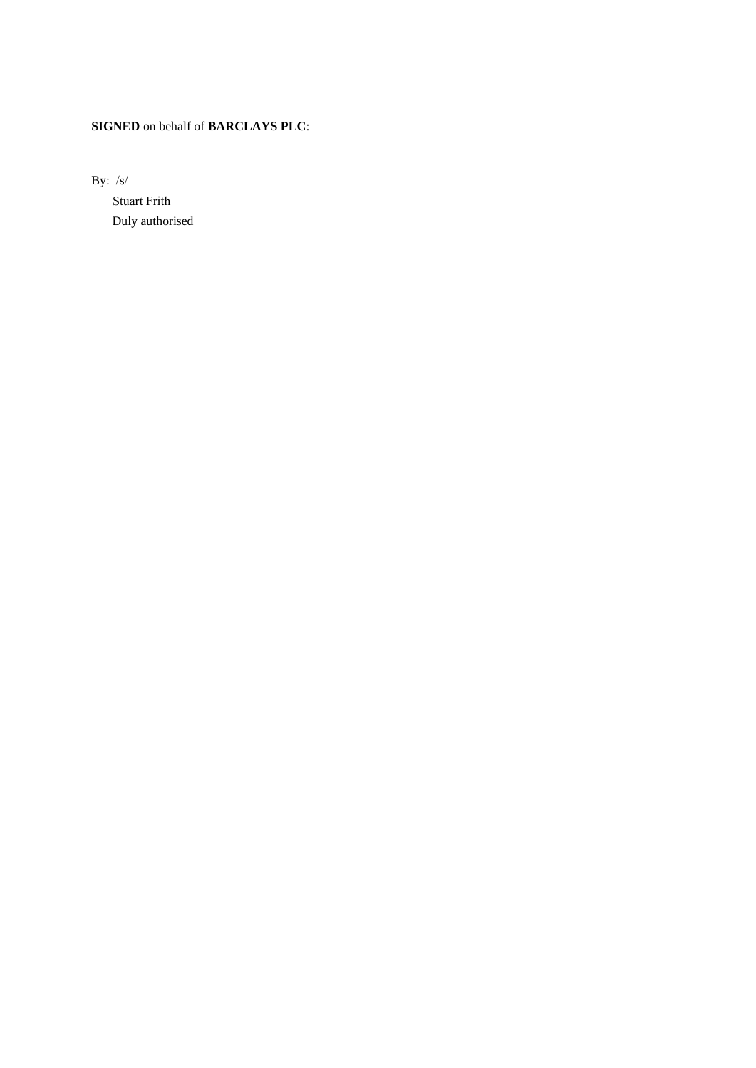# **SIGNED** on behalf of **BARCLAYS PLC**:

By: /s/

 Duly authorised Stuart Frith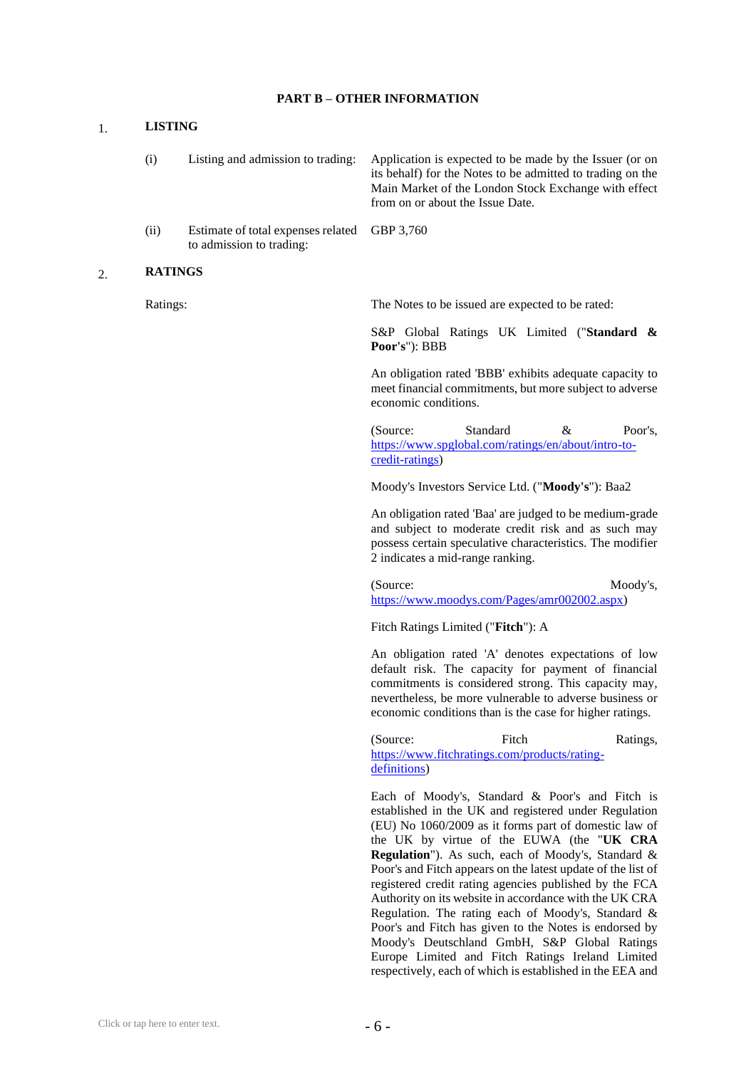#### **PART B – OTHER INFORMATION**

## 1. **LISTING**

| (i)  | Listing and admission to trading:            | Application is expected to be made by the Issuer (or on<br>its behalf) for the Notes to be admitted to trading on the<br>Main Market of the London Stock Exchange with effect<br>from on or about the Issue Date. |
|------|----------------------------------------------|-------------------------------------------------------------------------------------------------------------------------------------------------------------------------------------------------------------------|
| (ii) | Estimate of total expenses related GBP 3,760 |                                                                                                                                                                                                                   |

#### 2. **RATINGS**

to admission to trading:

Ratings: The Notes to be issued are expected to be rated:

S&P Global Ratings UK Limited ("**Standard & Poor's**"): BBB

An obligation rated 'BBB' exhibits adequate capacity to meet financial commitments, but more subject to adverse economic conditions.

(Source: Standard & Poor's, [https://www.spglobal.com/ratings/en/about/intro-to](https://www.spglobal.com/ratings/en/about/intro-to-credit-ratings)[credit-ratings\)](https://www.spglobal.com/ratings/en/about/intro-to-credit-ratings)

Moody's Investors Service Ltd. ("**Moody's**"): Baa2

An obligation rated 'Baa' are judged to be medium-grade and subject to moderate credit risk and as such may possess certain speculative characteristics. The modifier 2 indicates a mid-range ranking.

(Source: Moody's, [https://www.moodys.com/Pages/amr002002.aspx\)](https://www.moodys.com/Pages/amr002002.aspx)

Fitch Ratings Limited ("**Fitch**"): A

An obligation rated 'A' denotes expectations of low default risk. The capacity for payment of financial commitments is considered strong. This capacity may, nevertheless, be more vulnerable to adverse business or economic conditions than is the case for higher ratings.

(Source: Fitch Ratings, [https://www.fitchratings.com/products/rating](https://www.fitchratings.com/products/rating-definitions)[definitions\)](https://www.fitchratings.com/products/rating-definitions)

Each of Moody's, Standard & Poor's and Fitch is established in the UK and registered under Regulation (EU) No 1060/2009 as it forms part of domestic law of the UK by virtue of the EUWA (the "**UK CRA Regulation**"). As such, each of Moody's, Standard & Poor's and Fitch appears on the latest update of the list of registered credit rating agencies published by the FCA Authority on its website in accordance with the UK CRA Regulation. The rating each of Moody's, Standard & Poor's and Fitch has given to the Notes is endorsed by Moody's Deutschland GmbH, S&P Global Ratings Europe Limited and Fitch Ratings Ireland Limited respectively, each of which is established in the EEA and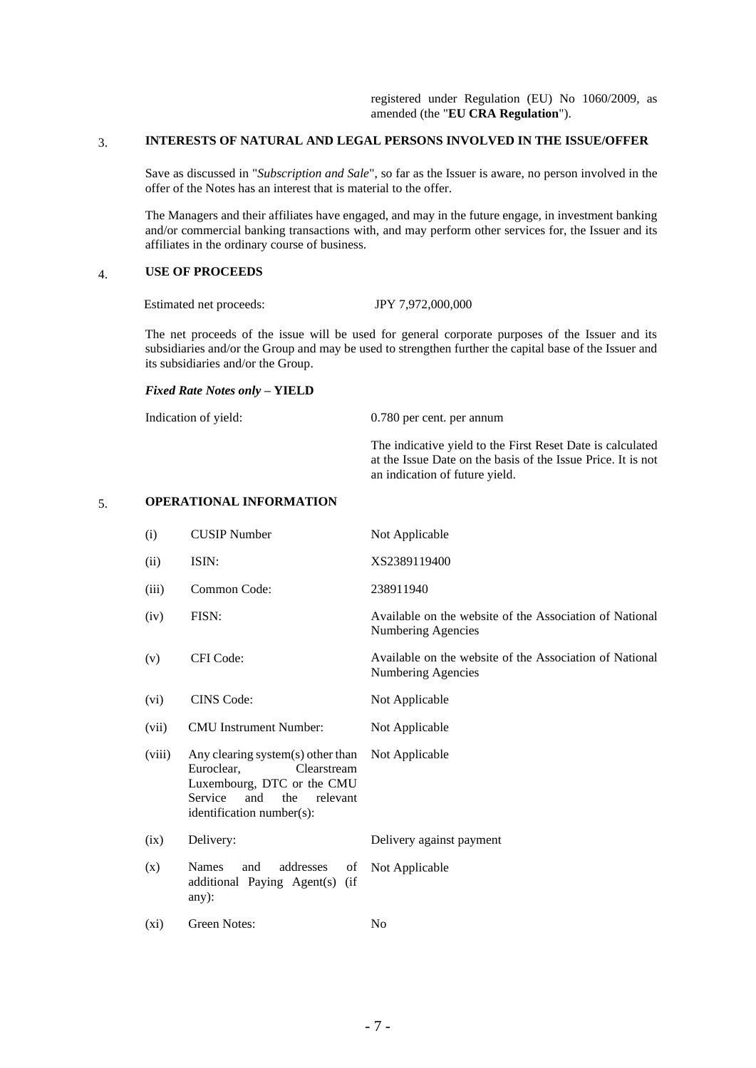# 3. **INTERESTS OF NATURAL AND LEGAL PERSONS INVOLVED IN THE ISSUE/OFFER**

Save as discussed in "*Subscription and Sale*", so far as the Issuer is aware, no person involved in the offer of the Notes has an interest that is material to the offer.

The Managers and their affiliates have engaged, and may in the future engage, in investment banking and/or commercial banking transactions with, and may perform other services for, the Issuer and its affiliates in the ordinary course of business.

# 4. **USE OF PROCEEDS**

Estimated net proceeds: JPY 7,972,000,000

The net proceeds of the issue will be used for general corporate purposes of the Issuer and its subsidiaries and/or the Group and may be used to strengthen further the capital base of the Issuer and its subsidiaries and/or the Group.

#### *Fixed Rate Notes only* **– YIELD**

Indication of yield: 0.780 per cent. per annum

The indicative yield to the First Reset Date is calculated at the Issue Date on the basis of the Issue Price. It is not an indication of future yield.

### 5. **OPERATIONAL INFORMATION**

| (i)     | <b>CUSIP</b> Number                                                                                                                                            | Not Applicable                                                                |
|---------|----------------------------------------------------------------------------------------------------------------------------------------------------------------|-------------------------------------------------------------------------------|
| (ii)    | ISIN:                                                                                                                                                          | XS2389119400                                                                  |
| (iii)   | Common Code:                                                                                                                                                   | 238911940                                                                     |
| (iv)    | FISN:                                                                                                                                                          | Available on the website of the Association of National<br>Numbering Agencies |
| (v)     | CFI Code:                                                                                                                                                      | Available on the website of the Association of National<br>Numbering Agencies |
| (vi)    | <b>CINS</b> Code:                                                                                                                                              | Not Applicable                                                                |
| (vii)   | <b>CMU</b> Instrument Number:                                                                                                                                  | Not Applicable                                                                |
| (viii)  | Any clearing system(s) other than<br>Euroclear,<br>Clearstream<br>Luxembourg, DTC or the CMU<br>Service<br>and<br>the<br>relevant<br>identification number(s): | Not Applicable                                                                |
| (ix)    | Delivery:                                                                                                                                                      | Delivery against payment                                                      |
| (x)     | <b>Names</b><br>addresses<br>and<br>of<br>additional Paying Agent(s)<br>(i f)<br>$any)$ :                                                                      | Not Applicable                                                                |
| $(x_i)$ | Green Notes:                                                                                                                                                   | N <sub>0</sub>                                                                |